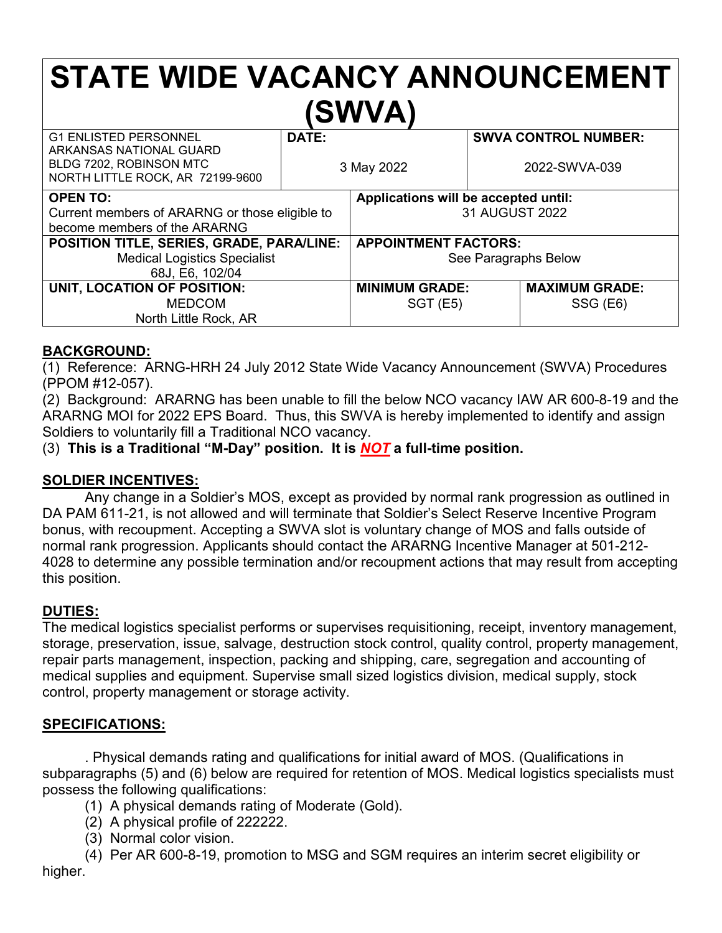# **STATE WIDE VACANCY ANNOUNCEMENT (SWVA)**

| <b>G1 ENLISTED PERSONNEL</b><br>ARKANSAS NATIONAL GUARD     | DATE:                                |                             |               | <b>SWVA CONTROL NUMBER:</b> |
|-------------------------------------------------------------|--------------------------------------|-----------------------------|---------------|-----------------------------|
| BLDG 7202, ROBINSON MTC<br>NORTH LITTLE ROCK, AR 72199-9600 | 3 May 2022                           |                             | 2022-SWVA-039 |                             |
| <b>OPEN TO:</b>                                             | Applications will be accepted until: |                             |               |                             |
| Current members of ARARNG or those eligible to              |                                      | 31 AUGUST 2022              |               |                             |
| become members of the ARARNG                                |                                      |                             |               |                             |
| POSITION TITLE, SERIES, GRADE, PARA/LINE:                   |                                      | <b>APPOINTMENT FACTORS:</b> |               |                             |
| <b>Medical Logistics Specialist</b>                         |                                      | See Paragraphs Below        |               |                             |
| 68J, E6, 102/04                                             |                                      |                             |               |                             |
| UNIT, LOCATION OF POSITION:                                 |                                      | <b>MINIMUM GRADE:</b>       |               | <b>MAXIMUM GRADE:</b>       |
| <b>MEDCOM</b>                                               |                                      | SGT (E5)                    |               | SSG (E6)                    |
| North Little Rock, AR                                       |                                      |                             |               |                             |

#### **BACKGROUND:**

(1) Reference: ARNG-HRH 24 July 2012 State Wide Vacancy Announcement (SWVA) Procedures (PPOM #12-057).

(2) Background: ARARNG has been unable to fill the below NCO vacancy IAW AR 600-8-19 and the ARARNG MOI for 2022 EPS Board. Thus, this SWVA is hereby implemented to identify and assign Soldiers to voluntarily fill a Traditional NCO vacancy.

(3) **This is a Traditional "M-Day" position. It is** *NOT* **a full-time position.**

#### **SOLDIER INCENTIVES:**

Any change in a Soldier's MOS, except as provided by normal rank progression as outlined in DA PAM 611-21, is not allowed and will terminate that Soldier's Select Reserve Incentive Program bonus, with recoupment. Accepting a SWVA slot is voluntary change of MOS and falls outside of normal rank progression. Applicants should contact the ARARNG Incentive Manager at 501-212- 4028 to determine any possible termination and/or recoupment actions that may result from accepting this position.

#### **DUTIES:**

The medical logistics specialist performs or supervises requisitioning, receipt, inventory management, storage, preservation, issue, salvage, destruction stock control, quality control, property management, repair parts management, inspection, packing and shipping, care, segregation and accounting of medical supplies and equipment. Supervise small sized logistics division, medical supply, stock control, property management or storage activity.

#### **SPECIFICATIONS:**

. Physical demands rating and qualifications for initial award of MOS. (Qualifications in subparagraphs (5) and (6) below are required for retention of MOS. Medical logistics specialists must possess the following qualifications:

- (1) A physical demands rating of Moderate (Gold).
- (2) A physical profile of 222222.
- (3) Normal color vision.
- (4) Per AR 600-8-19, promotion to MSG and SGM requires an interim secret eligibility or

higher.